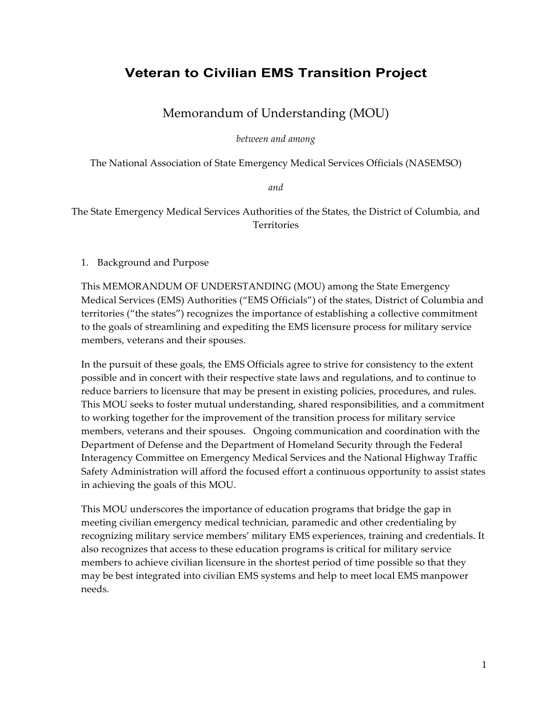# **Veteran to Civilian EMS Transition Project**

# Memorandum of Understanding (MOU)

*between and among*

The National Association of State Emergency Medical Services Officials (NASEMSO)

*and*

The State Emergency Medical Services Authorities of the States, the District of Columbia, and Territories

1. Background and Purpose

This MEMORANDUM OF UNDERSTANDING (MOU) among the State Emergency Medical Services (EMS) Authorities ("EMS Officials") of the states, District of Columbia and territories ("the states") recognizes the importance of establishing a collective commitment to the goals of streamlining and expediting the EMS licensure process for military service members, veterans and their spouses.

In the pursuit of these goals, the EMS Officials agree to strive for consistency to the extent possible and in concert with their respective state laws and regulations, and to continue to reduce barriers to licensure that may be present in existing policies, procedures, and rules. This MOU seeks to foster mutual understanding, shared responsibilities, and a commitment to working together for the improvement of the transition process for military service members, veterans and their spouses. Ongoing communication and coordination with the Department of Defense and the Department of Homeland Security through the Federal Interagency Committee on Emergency Medical Services and the National Highway Traffic Safety Administration will afford the focused effort a continuous opportunity to assist states in achieving the goals of this MOU.

This MOU underscores the importance of education programs that bridge the gap in meeting civilian emergency medical technician, paramedic and other credentialing by recognizing military service members' military EMS experiences, training and credentials. It also recognizes that access to these education programs is critical for military service members to achieve civilian licensure in the shortest period of time possible so that they may be best integrated into civilian EMS systems and help to meet local EMS manpower needs.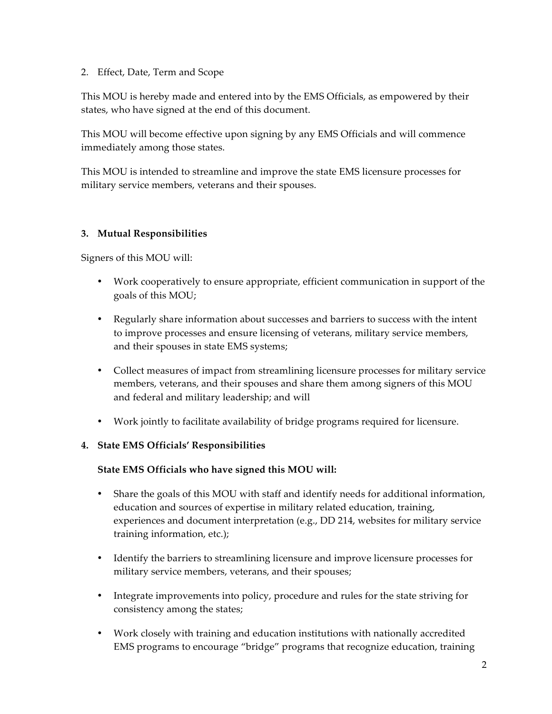### 2. Effect, Date, Term and Scope

This MOU is hereby made and entered into by the EMS Officials, as empowered by their states, who have signed at the end of this document.

This MOU will become effective upon signing by any EMS Officials and will commence immediately among those states.

This MOU is intended to streamline and improve the state EMS licensure processes for military service members, veterans and their spouses.

### **3. Mutual Responsibilities**

Signers of this MOU will:

- Work cooperatively to ensure appropriate, efficient communication in support of the goals of this MOU;
- Regularly share information about successes and barriers to success with the intent to improve processes and ensure licensing of veterans, military service members, and their spouses in state EMS systems;
- Collect measures of impact from streamlining licensure processes for military service members, veterans, and their spouses and share them among signers of this MOU and federal and military leadership; and will
- Work jointly to facilitate availability of bridge programs required for licensure.

#### **4. State EMS Officials' Responsibilities**

#### **State EMS Officials who have signed this MOU will:**

- Share the goals of this MOU with staff and identify needs for additional information, education and sources of expertise in military related education, training, experiences and document interpretation (e.g., DD 214, websites for military service training information, etc.);
- Identify the barriers to streamlining licensure and improve licensure processes for military service members, veterans, and their spouses;
- Integrate improvements into policy, procedure and rules for the state striving for consistency among the states;
- Work closely with training and education institutions with nationally accredited EMS programs to encourage "bridge" programs that recognize education, training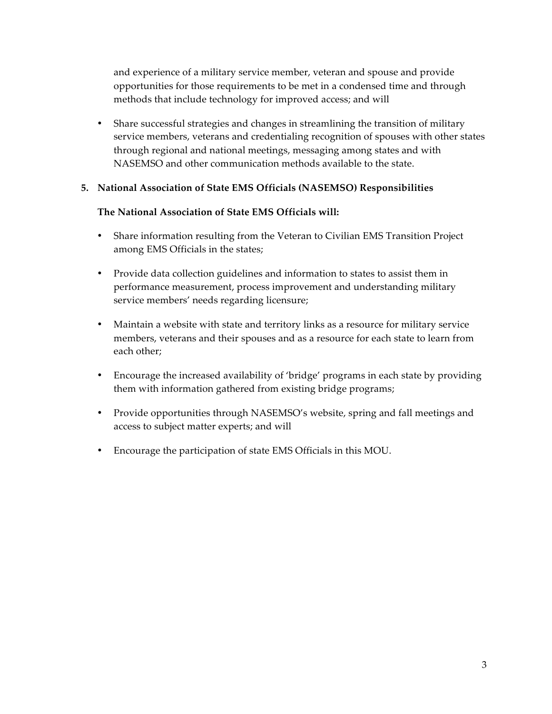and experience of a military service member, veteran and spouse and provide opportunities for those requirements to be met in a condensed time and through methods that include technology for improved access; and will

• Share successful strategies and changes in streamlining the transition of military service members, veterans and credentialing recognition of spouses with other states through regional and national meetings, messaging among states and with NASEMSO and other communication methods available to the state.

#### **5. National Association of State EMS Officials (NASEMSO) Responsibilities**

#### **The National Association of State EMS Officials will:**

- Share information resulting from the Veteran to Civilian EMS Transition Project among EMS Officials in the states;
- Provide data collection guidelines and information to states to assist them in performance measurement, process improvement and understanding military service members' needs regarding licensure;
- Maintain a website with state and territory links as a resource for military service members, veterans and their spouses and as a resource for each state to learn from each other;
- Encourage the increased availability of 'bridge' programs in each state by providing them with information gathered from existing bridge programs;
- Provide opportunities through NASEMSO's website, spring and fall meetings and access to subject matter experts; and will
- Encourage the participation of state EMS Officials in this MOU.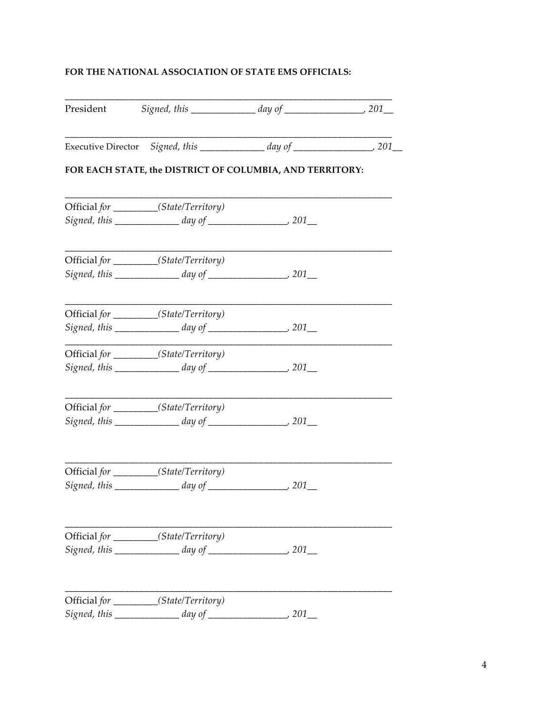## **FOR THE NATIONAL ASSOCIATION OF STATE EMS OFFICIALS:**

| President |                                                          |  |
|-----------|----------------------------------------------------------|--|
|           |                                                          |  |
|           | FOR EACH STATE, the DISTRICT OF COLUMBIA, AND TERRITORY: |  |
|           | Official for ________(State/Territory)                   |  |
|           |                                                          |  |
|           | Official for _________(State/Territory)                  |  |
|           |                                                          |  |
|           | Official for _________(State/Territory)                  |  |
|           |                                                          |  |
|           | Official for _________(State/Territory)                  |  |
|           | Signed, this $\frac{1}{201}$ day of $\frac{1}{201}$ 201  |  |
|           | Official for _________(State/Territory)                  |  |
|           |                                                          |  |
|           | Official for (State/Territory)                           |  |
|           |                                                          |  |
|           | Official for _________(State/Territory)                  |  |
|           |                                                          |  |
|           | Official for _________(State/Territory)                  |  |
|           |                                                          |  |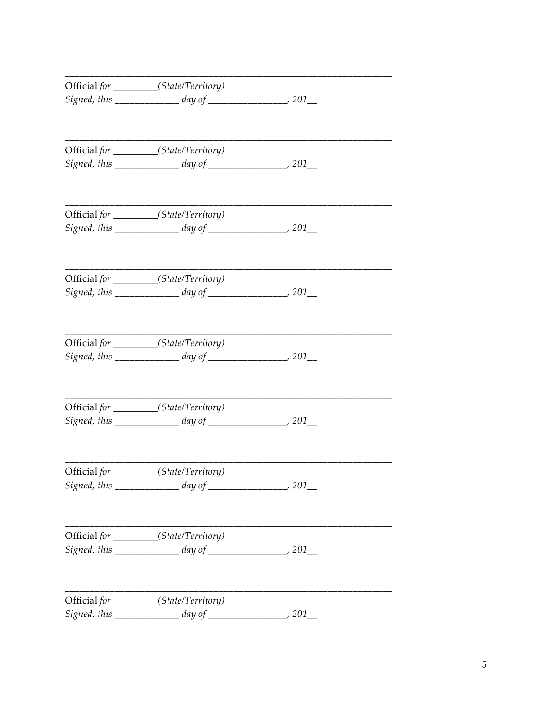| Official for __________(State/Territory)                |  |
|---------------------------------------------------------|--|
|                                                         |  |
|                                                         |  |
| Official for _________(State/Territory)                 |  |
|                                                         |  |
|                                                         |  |
| Official for _________(State/Territory)                 |  |
|                                                         |  |
| Official for ________(State/Territory)                  |  |
|                                                         |  |
|                                                         |  |
| Official for _________(State/Territory)                 |  |
|                                                         |  |
| Official for _________(State/Territory)                 |  |
|                                                         |  |
| Official for ________(State/Territory)                  |  |
| Signed, this $\frac{1}{201}$ day of $\frac{1}{201}$ 201 |  |
|                                                         |  |
| Official for _________(State/Territory)                 |  |
|                                                         |  |
| Official for _________(State/Territory)                 |  |
| Signed, this $\_\_\_\_$ day of $\_\_\_\_\_\_$ 201_      |  |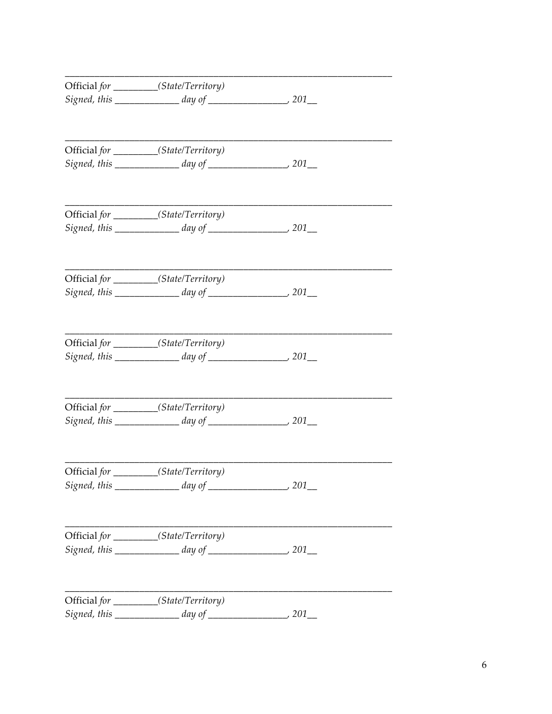| Official for __________(State/Territory) |  |
|------------------------------------------|--|
|                                          |  |
|                                          |  |
| Official for _________(State/Territory)  |  |
|                                          |  |
|                                          |  |
| Official for _________(State/Territory)  |  |
|                                          |  |
| Official for ________(State/Territory)   |  |
|                                          |  |
| Official for _________(State/Territory)  |  |
|                                          |  |
|                                          |  |
| Official for _________(State/Territory)  |  |
|                                          |  |
| Official for ________(State/Territory)   |  |
|                                          |  |
| Official for _________(State/Territory)  |  |
|                                          |  |
|                                          |  |
| Official for _________(State/Territory)  |  |
|                                          |  |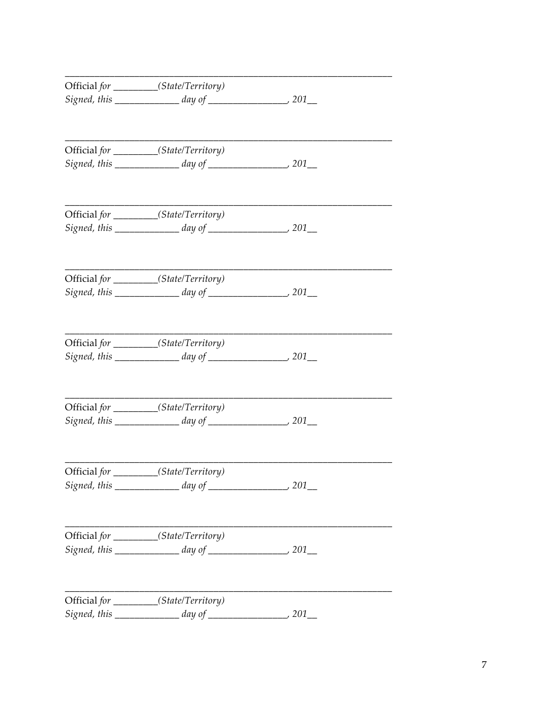| Official for __________(State/Territory)                |  |
|---------------------------------------------------------|--|
|                                                         |  |
|                                                         |  |
| Official for _________(State/Territory)                 |  |
|                                                         |  |
|                                                         |  |
| Official for _________(State/Territory)                 |  |
|                                                         |  |
| Official for ________(State/Territory)                  |  |
|                                                         |  |
|                                                         |  |
| Official for _________(State/Territory)                 |  |
|                                                         |  |
| Official for _________(State/Territory)                 |  |
|                                                         |  |
| Official for _________(State/Territory)                 |  |
| Signed, this $\frac{1}{201}$ day of $\frac{1}{201}$ 201 |  |
|                                                         |  |
| Official for ________(State/Territory)                  |  |
|                                                         |  |
| Official for _________(State/Territory)                 |  |
| Signed, this $\_\_\_\_$ day of $\_\_\_\_\_\_$ 201_      |  |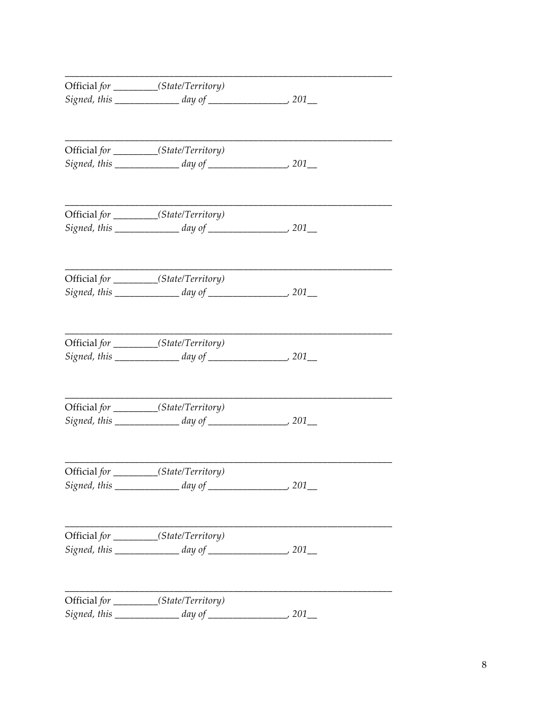| Official for _________(State/Territory)             |  |
|-----------------------------------------------------|--|
|                                                     |  |
|                                                     |  |
|                                                     |  |
| Official for _________(State/Territory)             |  |
|                                                     |  |
| Official for _________(State/Territory)             |  |
|                                                     |  |
| Official for _________(State/Territory)             |  |
|                                                     |  |
|                                                     |  |
| Official for _________(State/Territory)             |  |
| Signed, this $\frac{1}{2}$ day of $\frac{1}{2}$ 201 |  |
| Official for _________(State/Territory)             |  |
|                                                     |  |
|                                                     |  |
| Official for _________(State/Territory)             |  |
|                                                     |  |
| Official for _________(State/Territory)             |  |
|                                                     |  |
|                                                     |  |
| Official for _________(State/Territory)             |  |
|                                                     |  |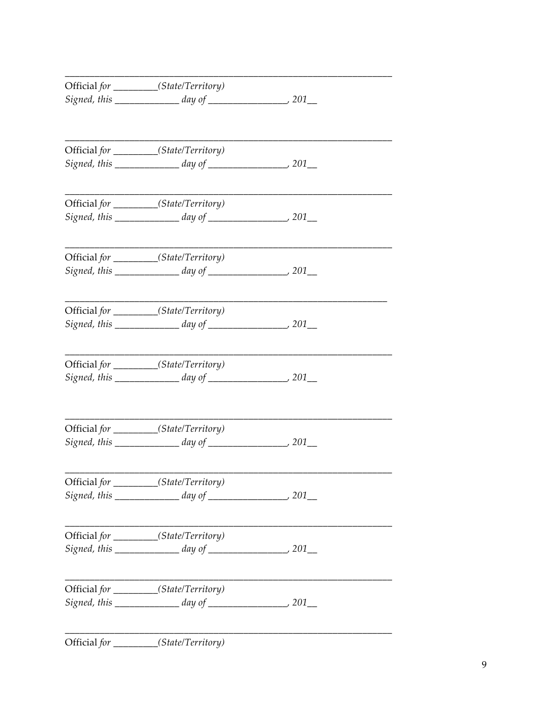| Official for _________(State/Territory)                 |  |
|---------------------------------------------------------|--|
|                                                         |  |
|                                                         |  |
| Official for ________(State/Territory)                  |  |
|                                                         |  |
| Official for ________(State/Territory)                  |  |
| Official for _________(State/Territory)                 |  |
| Signed, this $\frac{1}{201}$ day of $\frac{1}{201}$ 201 |  |
| Official for ________(State/Territory)                  |  |
| Signed, this $\frac{1}{201}$ day of $\frac{1}{201}$ 201 |  |
| Official for _________(State/Territory)                 |  |
|                                                         |  |
| Official for ________(State/Territory)                  |  |
|                                                         |  |
| Official for __________(State/Territory)                |  |
|                                                         |  |
| Official for _________(State/Territory)                 |  |
|                                                         |  |
| Official for ________(State/Territory)                  |  |
|                                                         |  |
|                                                         |  |

Official for \_\_\_\_\_\_\_\_\_\_(State/Territory)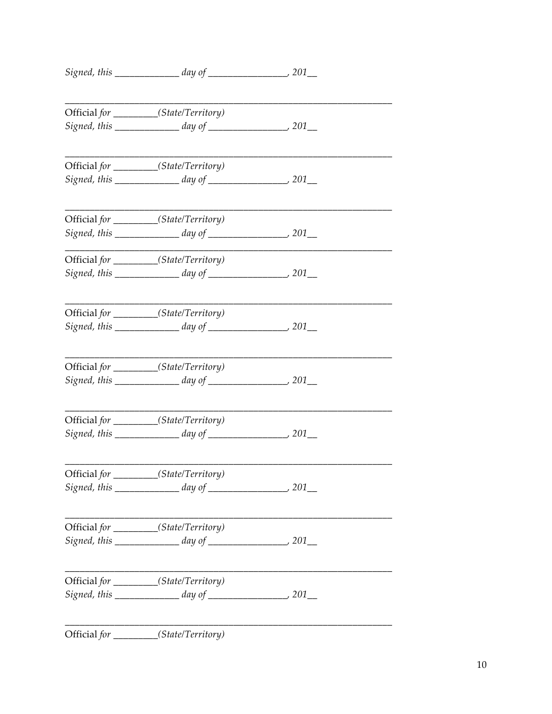| Official for _________(State/Territory)                    |  |
|------------------------------------------------------------|--|
|                                                            |  |
| Official for _________(State/Territory)                    |  |
|                                                            |  |
| Official for _________(State/Territory)                    |  |
|                                                            |  |
| Official for _________(State/Territory)                    |  |
| Signed, this $\_\_\_\_$ day of $\_\_\_\_\_$ 201 $\_\_\_\_$ |  |
| Official for _________(State/Territory)                    |  |
| Signed, this $\frac{1}{201}$ day of $\frac{1}{201}$ 201    |  |
| Official for _________(State/Territory)                    |  |
|                                                            |  |
| Official for ________(State/Territory)                     |  |
| Signed, this $\_\_\_\_$ day of $\_\_\_\_\_$ 201 $\_\_\_\_$ |  |
| Official for ________(State/Territory)                     |  |
|                                                            |  |
| Official for _________(State/Territory)                    |  |
|                                                            |  |
| Official for ________(State/Territory)                     |  |
|                                                            |  |
| Official for ________(State/Territory)                     |  |